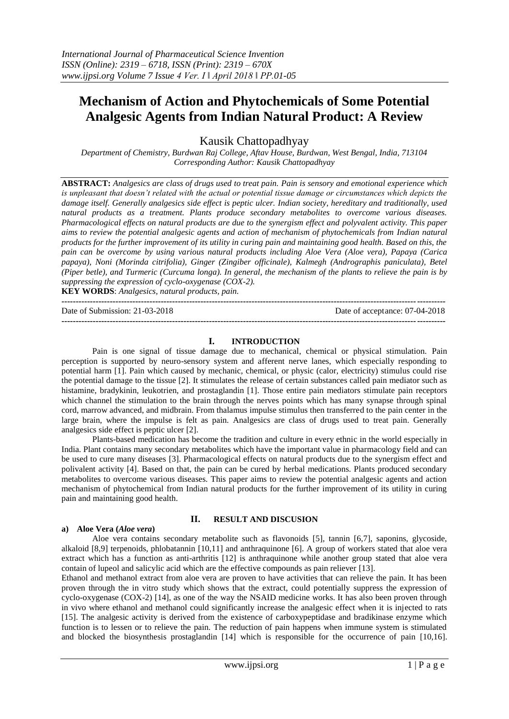# **Mechanism of Action and Phytochemicals of Some Potential Analgesic Agents from Indian Natural Product: A Review**

Kausik Chattopadhyay

*Department of Chemistry, Burdwan Raj College, Aftav House, Burdwan, West Bengal, India, 713104 Corresponding Author: Kausik Chattopadhyay*

**ABSTRACT:** *Analgesics are class of drugs used to treat pain. Pain is sensory and emotional experience which*  is unpleasant that doesn't related with the actual or potential tissue damage or circumstances which depicts the *damage itself. Generally analgesics side effect is peptic ulcer. Indian society, hereditary and traditionally, used natural products as a treatment. Plants produce secondary metabolites to overcome various diseases. Pharmacological effects on natural products are due to the synergism effect and polyvalent activity. This paper aims to review the potential analgesic agents and action of mechanism of phytochemicals from Indian natural products for the further improvement of its utility in curing pain and maintaining good health. Based on this, the pain can be overcome by using various natural products including Aloe Vera (Aloe vera), Papaya (Carica papaya), Noni (Morinda citrifolia), Ginger (Zingiber officinale), Kalmegh (Andrographis paniculata), Betel (Piper betle), and Turmeric (Curcuma longa). In general, the mechanism of the plants to relieve the pain is by suppressing the expression of cyclo-oxygenase (COX-2).*

**KEY WORDS**: *Analgesics, natural products, pain.* **---------------------------------------------------------------------------------------------------------------------------------------**

Date of Submission: 21-03-2018 Date of acceptance: 07-04-2018

**---------------------------------------------------------------------------------------------------------------------------------------**

# **I. INTRODUCTION**

Pain is one signal of tissue damage due to mechanical, chemical or physical stimulation. Pain perception is supported by neuro-sensory system and afferent nerve lanes, which especially responding to potential harm [1]. Pain which caused by mechanic, chemical, or physic (calor, electricity) stimulus could rise the potential damage to the tissue [2]. It stimulates the release of certain substances called pain mediator such as histamine, bradykinin, leukotrien, and prostaglandin [1]. Those entire pain mediators stimulate pain receptors which channel the stimulation to the brain through the nerves points which has many synapse through spinal cord, marrow advanced, and midbrain. From thalamus impulse stimulus then transferred to the pain center in the large brain, where the impulse is felt as pain. Analgesics are class of drugs used to treat pain. Generally analgesics side effect is peptic ulcer [2].

Plants-based medication has become the tradition and culture in every ethnic in the world especially in India. Plant contains many secondary metabolites which have the important value in pharmacology field and can be used to cure many diseases [3]. Pharmacological effects on natural products due to the synergism effect and polivalent activity [4]. Based on that, the pain can be cured by herbal medications. Plants produced secondary metabolites to overcome various diseases. This paper aims to review the potential analgesic agents and action mechanism of phytochemical from Indian natural products for the further improvement of its utility in curing pain and maintaining good health.

## **a) Aloe Vera (***Aloe vera***)**

# **II. RESULT AND DISCUSION**

Aloe vera contains secondary metabolite such as flavonoids [5], tannin [6,7], saponins, glycoside, alkaloid [8,9] terpenoids, phlobatannin [10,11] and anthraquinone [6]. A group of workers stated that aloe vera extract which has a function as anti-arthritis [12] is anthraquinone while another group stated that aloe vera contain of lupeol and salicylic acid which are the effective compounds as pain reliever [13].

Ethanol and methanol extract from aloe vera are proven to have activities that can relieve the pain. It has been proven through the in vitro study which shows that the extract, could potentially suppress the expression of cyclo-oxygenase (COX-2) [14], as one of the way the NSAID medicine works. It has also been proven through in vivo where ethanol and methanol could significantly increase the analgesic effect when it is injected to rats [15]. The analgesic activity is derived from the existence of carboxypeptidase and bradikinase enzyme which function is to lessen or to relieve the pain. The reduction of pain happens when immune system is stimulated and blocked the biosynthesis prostaglandin [14] which is responsible for the occurrence of pain [10,16].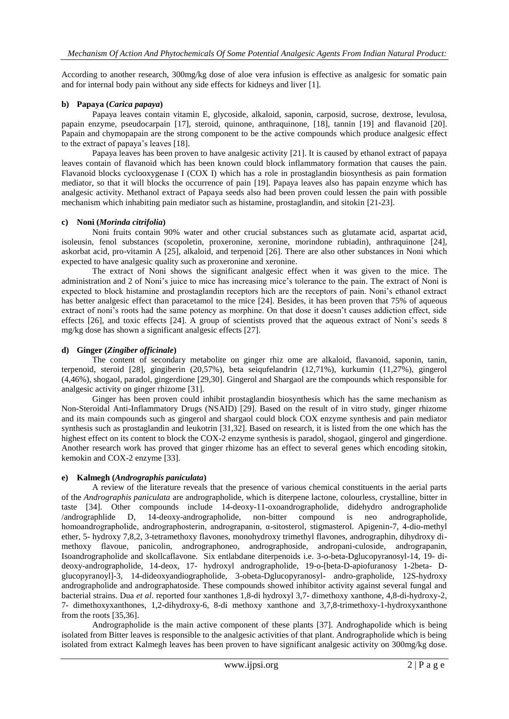According to another research, 300mg/kg dose of aloe vera infusion is effective as analgesic for somatic pain and for internal body pain without any side effects for kidneys and liver [1].

# **b) Papaya (***Carica papaya***)**

Papaya leaves contain vitamin E, glycoside, alkaloid, saponin, carposid, sucrose, dextrose, levulosa, papain enzyme, pseudocarpain [17], steroid, quinone, anthraquinone, [18], tannin [19] and flavanoid [20]. Papain and chymopapain are the strong component to be the active compounds which produce analgesic effect to the extract of papaya's leaves [18].

Papaya leaves has been proven to have analgesic activity [21]. It is caused by ethanol extract of papaya leaves contain of flavanoid which has been known could block inflammatory formation that causes the pain. Flavanoid blocks cyclooxygenase I (COX I) which has a role in prostaglandin biosynthesis as pain formation mediator, so that it will blocks the occurrence of pain [19]. Papaya leaves also has papain enzyme which has analgesic activity. Methanol extract of Papaya seeds also had been proven could lessen the pain with possible mechanism which inhabiting pain mediator such as histamine, prostaglandin, and sitokin [21-23].

# **c) Noni (***Morinda citrifolia***)**

Noni fruits contain 90% water and other crucial substances such as glutamate acid, aspartat acid, isoleusin, fenol substances (scopoletin, proxeronine, xeronine, morindone rubiadin), anthraquinone [24], askorbat acid, pro-vitamin A [25], alkaloid, and terpenoid [26]. There are also other substances in Noni which expected to have analgesic quality such as proxeronine and xeronine.

The extract of Noni shows the significant analgesic effect when it was given to the mice. The administration and 2 of Noni's juice to mice has increasing mice's tolerance to the pain. The extract of Noni is expected to block histamine and prostaglandin receptors hich are the receptors of pain. Noni's ethanol extract has better analgesic effect than paracetamol to the mice [24]. Besides, it has been proven that 75% of aqueous extract of noni's roots had the same potency as morphine. On that dose it doesn't causes addiction effect, side effects [26], and toxic effects [24]. A group of scientists proved that the aqueous extract of Noni's seeds 8 mg/kg dose has shown a significant analgesic effects [27].

# **d) Ginger (***Zingiber officinale***)**

The content of secondary metabolite on ginger rhiz ome are alkaloid, flavanoid, saponin, tanin, terpenoid, steroid [28], gingiberin (20,57%), beta seiqufelandrin (12,71%), kurkumin (11,27%), gingerol (4,46%), shogaol, paradol, gingerdione [29,30]. Gingerol and Shargaol are the compounds which responsible for analgesic activity on ginger rhizome [31].

Ginger has been proven could inhibit prostaglandin biosynthesis which has the same mechanism as Non-Steroidal Anti-Inflammatory Drugs (NSAID) [29]. Based on the result of in vitro study, ginger rhizome and its main compounds such as gingerol and shargaol could block COX enzyme synthesis and pain mediator synthesis such as prostaglandin and leukotrin [31,32]. Based on research, it is listed from the one which has the highest effect on its content to block the COX-2 enzyme synthesis is paradol, shogaol, gingerol and gingerdione. Another research work has proved that ginger rhizome has an effect to several genes which encoding sitokin, kemokin and COX-2 enzyme [33].

## **e) Kalmegh (***Andrographis paniculata***)**

A review of the literature reveals that the presence of various chemical constituents in the aerial parts of the *Andrographis paniculata* are andrographolide, which is diterpene lactone, colourless, crystalline, bitter in taste [34]. Other compounds include 14-deoxy-11-oxoandrographolide, didehydro andrographolide /andrographlide D, 14-deoxy-andrographolide, non-bitter compound is neo andrographolide, homoandrographolide, andrographosterin, andrograpanin, α-sitosterol, stigmasterol. Apigenin-7, 4-dio-methyl ether, 5- hydroxy 7,8,2, 3-tetramethoxy flavones, monohydroxy trimethyl flavones, andrographin, dihydroxy dimethoxy flavoue, panicolin, andrographoneo, andrographoside, andropani-culoside, andrograpanin, Isoandrographolide and skollcaflavone. Six entlabdane diterpenoids i.e. 3-o-beta-Dglucopyranosyl-14, 19- dideoxy-andrographolide, 14-deox, 17- hydroxyl andrographolide, 19-o-[beta-D-apiofuranosy 1-2beta- Dglucopyranoyl]-3, 14-dideoxyandiographolide, 3-obeta-Dglucopyranosyl- andro-grapholide, 12S-hydroxy andrographolide and andrographatoside. These compounds showed inhibitor activity against several fungal and bacterial strains. Dua *et al*. reported four xanthones 1,8-di hydroxyl 3,7- dimethoxy xanthone, 4,8-di-hydroxy-2, 7- dimethoxyxanthones, 1,2-dihydroxy-6, 8-di methoxy xanthone and 3,7,8-trimethoxy-1-hydroxyxanthone from the roots [35,36].

Andrographolide is the main active component of these plants [37]. Androghapolide which is being isolated from Bitter leaves is responsible to the analgesic activities of that plant. Andrographolide which is being isolated from extract Kalmegh leaves has been proven to have significant analgesic activity on 300mg/kg dose.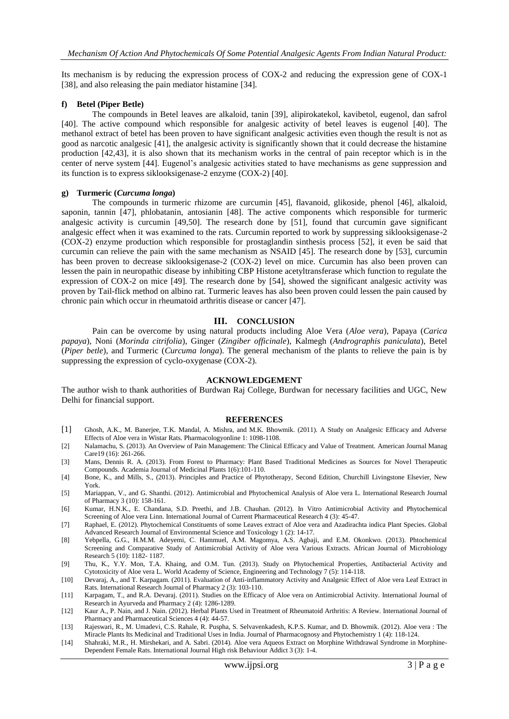Its mechanism is by reducing the expression process of COX-2 and reducing the expression gene of COX-1 [38], and also releasing the pain mediator histamine [34].

#### **f) Betel (Piper Betle)**

The compounds in Betel leaves are alkaloid, tanin [39], alipirokatekol, kavibetol, eugenol, dan safrol [40]. The active compound which responsible for analgesic activity of betel leaves is eugenol [40]. The methanol extract of betel has been proven to have significant analgesic activities even though the result is not as good as narcotic analgesic [41], the analgesic activity is significantly shown that it could decrease the histamine production [42,43], it is also shown that its mechanism works in the central of pain receptor which is in the center of nerve system [44]. Eugenol's analgesic activities stated to have mechanisms as gene suppression and its function is to express siklooksigenase-2 enzyme (COX-2) [40].

#### **g) Turmeric (***Curcuma longa***)**

The compounds in turmeric rhizome are curcumin [45], flavanoid, glikoside, phenol [46], alkaloid, saponin, tannin [47], phlobatanin, antosianin [48]. The active components which responsible for turmeric analgesic activity is curcumin [49,50]. The research done by [51], found that curcumin gave significant analgesic effect when it was examined to the rats. Curcumin reported to work by suppressing siklooksigenase-2 (COX-2) enzyme production which responsible for prostaglandin sinthesis process [52], it even be said that curcumin can relieve the pain with the same mechanism as NSAID [45]. The research done by [53], curcumin has been proven to decrease siklooksigenase-2 (COX-2) level on mice. Curcumin has also been proven can lessen the pain in neuropathic disease by inhibiting CBP Histone acetyltransferase which function to regulate the expression of COX-2 on mice [49]. The research done by [54], showed the significant analgesic activity was proven by Tail-flick method on albino rat. Turmeric leaves has also been proven could lessen the pain caused by chronic pain which occur in rheumatoid arthritis disease or cancer [47].

## **III. CONCLUSION**

Pain can be overcome by using natural products including Aloe Vera (*Aloe vera*), Papaya (*Carica papaya*), Noni (*Morinda citrifolia*), Ginger (*Zingiber officinale*), Kalmegh (*Andrographis paniculata*), Betel (*Piper betle*), and Turmeric (*Curcuma longa*). The general mechanism of the plants to relieve the pain is by suppressing the expression of cyclo-oxygenase (COX-2).

#### **ACKNOWLEDGEMENT**

The author wish to thank authorities of Burdwan Raj College, Burdwan for necessary facilities and UGC, New Delhi for financial support.

#### **REFERENCES**

- [1] Ghosh, A.K., M. Banerjee, T.K. Mandal, A. Mishra, and M.K. Bhowmik. (2011). A Study on Analgesic Efficacy and Adverse Effects of Aloe vera in Wistar Rats. Pharmacologyonline 1: 1098-1108.
- [2] Nalamachu, S. (2013). An Overview of Pain Management: The Clinical Efficacy and Value of Treatment. American Journal Manag Care19 (16): 261-266.
- [3] Mans, Dennis R. A. (2013). From Forest to Pharmacy: Plant Based Traditional Medicines as Sources for Novel Therapeutic Compounds. Academia Journal of Medicinal Plants 1(6):101-110.
- [4] Bone, K., and Mills, S., (2013). Principles and Practice of Phytotherapy, Second Edition, Churchill Livingstone Elsevier, New York.
- [5] Mariappan, V., and G. Shanthi. (2012). Antimicrobial and Phytochemical Analysis of Aloe vera L. International Research Journal of Pharmacy 3 (10): 158-161.
- [6] Kumar, H.N.K., E. Chandana, S.D. Preethi, and J.B. Chauhan. (2012). In Vitro Antimicrobial Activity and Phytochemical Screening of Aloe vera Linn. International Journal of Current Pharmaceutical Research 4 (3): 45-47.
- [7] Raphael, E. (2012). Phytochemical Constituents of some Leaves extract of Aloe vera and Azadirachta indica Plant Species. Global Advanced Research Journal of Environmental Science and Toxicology 1 (2): 14-17.
- [8] Yebpella, G.G., H.M.M. Adeyemi, C. Hammuel, A.M. Magomya, A.S. Agbaji, and E.M. Okonkwo. (2013). Phtochemical Screening and Comparative Study of Antimicrobial Activity of Aloe vera Various Extracts. African Journal of Microbiology Research 5 (10): 1182- 1187.
- [9] Thu, K., Y.Y. Mon, T.A. Khaing, and O.M. Tun. (2013). Study on Phytochemical Properties, Antibacterial Activity and Cytotoxicity of Aloe vera L. World Academy of Science, Engineering and Technology 7 (5): 114-118.
- [10] Devaraj, A., and T. Karpagam. (2011). Evaluation of Anti-inflammatory Activity and Analgesic Effect of Aloe vera Leaf Extract in Rats. International Research Journal of Pharmacy 2 (3): 103-110.
- [11] Karpagam, T., and R.A. Devaraj. (2011). Studies on the Efficacy of Aloe vera on Antimicrobial Activity. International Journal of Research in Ayurveda and Pharmacy 2 (4): 1286-1289.
- [12] Kaur A., P. Nain, and J. Nain. (2012). Herbal Plants Used in Treatment of Rheumatoid Arthritis: A Review. International Journal of Pharmacy and Pharmaceutical Sciences 4 (4): 44-57.
- [13] Rajeswari, R., M. Umadevi, C.S. Rahale, R. Puspha, S. Selvavenkadesh, K.P.S. Kumar, and D. Bhowmik. (2012). Aloe vera : The Miracle Plants Its Medicinal and Traditional Uses in India. Journal of Pharmacognosy and Phytochemistry 1 (4): 118-124.
- [14] Shahraki, M.R., H. Mirshekari, and A. Sabri. (2014). Aloe vera Aqueos Extract on Morphine Withdrawal Syndrome in Morphine-Dependent Female Rats. International Journal High risk Behaviour Addict 3 (3): 1-4.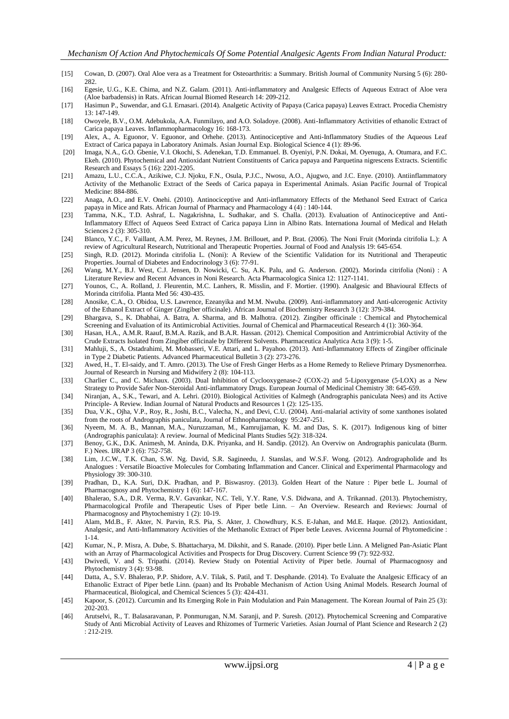- [15] Cowan, D. (2007). Oral Aloe vera as a Treatment for Osteoarthritis: a Summary. British Journal of Community Nursing 5 (6): 280- 282.
- [16] Egesie, U.G., K.E. Chima, and N.Z. Galam. (2011). Anti-inflammatory and Analgesic Effects of Aqueous Extract of Aloe vera (Aloe barbadensis) in Rats. African Journal Biomed Research 14: 209-212.
- [17] Hasimun P., Suwendar, and G.I. Ernasari. (2014). Analgetic Activity of Papaya (Carica papaya) Leaves Extract. Procedia Chemistry 13: 147-149.
- [18] Owoyele, B.V., O.M. Adebukola, A.A. Funmilayo, and A.O. Soladoye. (2008). Anti-Inflammatory Activities of ethanolic Extract of Carica papaya Leaves. Inflammopharmacology 16: 168-173.
- [19] Alex, A., A. Eguonor, V. Eguonor, and Orhehe. (2013). Antinociceptive and Anti-Inflammatory Studies of the Aqueous Leaf Extract of Carica papaya in Laboratory Animals. Asian Journal Exp. Biological Science 4 (1): 89-96.
- [20] Imaga, N.A., G.O. Gbenie, V.I. Okochi, S. Adenekan, T.D. Emmanuel. B. Oyeniyi, P.N. Dokai, M. Oyenuga, A. Otumara, and F.C. Ekeh. (2010). Phytochemical and Antioxidant Nutrient Constituents of Carica papaya and Parquetina nigrescens Extracts. Scientific Research and Essays 5 (16): 2201-2205.
- [21] Amazu, L.U., C.C.A., Azikiwe, C.J. Njoku, F.N., Osula, P.J.C., Nwosu, A.O., Ajugwo, and J.C. Enye. (2010). Antiinflammatory Activity of the Methanolic Extract of the Seeds of Carica papaya in Experimental Animals. Asian Pacific Journal of Tropical Medicine: 884-886.
- [22] Anaga, A.O., and E.V. Onehi. (2010). Antinociceptive and Anti-inflammatory Effects of the Methanol Seed Extract of Carica papaya in Mice and Rats. African Journal of Pharmacy and Pharmacology 4 (4) : 140-144.
- [23] Tamma, N.K., T.D. Ashraf, L. Nagakrishna, L. Sudhakar, and S. Challa. (2013). Evaluation of Antinociceptive and Anti-Inflammatory Effect of Aqueos Seed Extract of Carica papaya Linn in Albino Rats. Internationa Journal of Medical and Helath Sciences 2 (3): 305-310.
- [24] Blanco, Y.C., F. Vaillant, A.M. Perez, M. Reynes, J.M. Brillouet, and P. Brat. (2006). The Noni Fruit (Morinda citrifolia L.): A review of Agricultural Research, Nutritional and Therapeutic Properties. Journal of Food and Analysis 19: 645-654.
- [25] Singh, R.D. (2012). Morinda citrifolia L. (Noni): A Review of the Scientific Validation for its Nutritional and Therapeutic Properties. Journal of Diabetes and Endocrinology 3 (6): 77-91.
- [26] Wang, M.Y., B.J. West, C.J. Jensen, D. Nowicki, C. Su, A.K. Palu, and G. Anderson. (2002). Morinda citrifolia (Noni) : A Literature Review and Recent Advances in Noni Research. Acta Pharmacologica Sinica 12: 1127-1141.
- [27] Younos, C., A. Rolland, J. Fleurentin, M.C. Lanhers, R. Misslin, and F. Mortier. (1990). Analgesic and Bhavioural Effects of Morinda citrifolia. Planta Med 56: 430-435.
- [28] Anosike, C.A., O. Obidoa, U.S. Lawrence, Ezeanyika and M.M. Nwuba. (2009). Anti-inflammatory and Anti-ulcerogenic Activity of the Ethanol Extract of Ginger (Zingiber officinale). African Journal of Biochemistry Research 3 (12): 379-384.
- [29] Bhargava, S., K. Dhabhai, A. Batra, A. Sharma, and B. Malhotra. (2012). Zingiber officinale : Chemical and Phytochemical Screening and Evaluation of its Antimicrobial Activities. Journal of Chemical and Pharmaceutical Research 4 (1): 360-364.
- [30] Hasan, H.A., A.M.R. Raauf, B.M.A. Razik, and B.A.R. Hassan. (2012). Chemical Composition and Antrimicrobial Activity of the Crude Extracts Isolated from Zingiber officinale by Different Solvents. Pharmaceutica Analytica Acta 3 (9): 1-5.
- [31] Mahluji, S., A. Ostadrahimi, M. Mobasseri, V.E. Attari, and L. Payahoo. (2013). Anti-Inflammatory Effects of Zingiber officinale in Type 2 Diabetic Patients. Advanced Pharmaceutical Bulletin 3 (2): 273-276.
- [32] Awed, H., T. El-saidy, and T. Amro. (2013). The Use of Fresh Ginger Herbs as a Home Remedy to Relieve Primary Dysmenorrhea. Journal of Research in Nursing and Midwifery 2 (8): 104-113.
- [33] Charlier C., and C. Michaux. (2003). Dual Inhibition of Cyclooxygenase-2 (COX-2) and 5-Lipoxygenase (5-LOX) as a New Strategy to Provide Safer Non-Steroidal Anti-inflammatory Drugs. European Journal of Medicinal Chemistry 38: 645-659.
- [34] Niranjan, A., S.K., Tewari, and A. Lehri. (2010). Biological Activities of Kalmegh (Andrographis paniculata Nees) and its Active Principle- A Review. Indian Journal of Natural Products and Resources 1 (2): 125-135.
- [35] Dua, V.K., Ojha, V.P., Roy, R., Joshi, B.C., Valecha, N., and Devi, C.U. (2004). Anti-malarial activity of some xanthones isolated from the roots of Andrographis paniculata, Journal of Ethnopharmacology 95:247-251.
- [36] Nyeem, M. A. B., Mannan, M.A., Nuruzzaman, M., Kamrujjaman, K. M. and Das, S. K. (2017). Indigenous king of bitter (Andrographis paniculata): A review. Journal of Medicinal Plants Studies 5(2): 318-324.
- [37] Benoy, G.K., D.K. Animesh, M. Aninda, D.K. Priyanka, and H. Sandip. (2012). An Overviw on Andrographis paniculata (Burm. F.) Nees. IJRAP 3 (6): 752-758.
- [38] Lim, J.C.W., T.K. Chan, S.W. Ng. David, S.R. Sagineedu, J. Stanslas, and W.S.F. Wong. (2012). Andrographolide and Its Analogues : Versatile Bioactive Molecules for Combating Inflammation and Cancer. Clinical and Experimental Pharmacology and Physiology 39: 300-310.
- [39] Pradhan, D., K.A. Suri, D.K. Pradhan, and P. Biswasroy. (2013). Golden Heart of the Nature : Piper betle L. Journal of Pharmacognosy and Phytochemistry 1 (6): 147-167.
- [40] Bhalerao, S.A., D.R. Verma, R.V. Gavankar, N.C. Teli, Y.Y. Rane, V.S. Didwana, and A. Trikannad. (2013). Phytochemistry, Pharmacological Profile and Therapeutic Uses of Piper betle Linn. – An Overview. Research and Reviews: Journal of Pharmacognosy and Phytochemistry 1 (2): 10-19.
- [41] Alam, Md.B., F. Akter, N. Parvin, R.S. Pia, S. Akter, J. Chowdhury, K.S. E-Jahan, and Md.E. Haque. (2012). Antioxidant, Analgesic, and Anti-Inflammatory Activities of the Methanolic Extract of Piper betle Leaves. Avicenna Journal of Phytomedicine : 1-14.
- [42] Kumar, N., P. Misra, A. Dube, S. Bhattacharya, M. Dikshit, and S. Ranade. (2010). Piper betle Linn. A Meligned Pan-Asiatic Plant with an Array of Pharmacological Activities and Prospects for Drug Discovery. Current Science 99 (7): 922-932.
- [43] Dwivedi, V. and S. Tripathi. (2014). Review Study on Potential Activity of Piper betle. Journal of Pharmacognosy and Phytochemistry 3 (4): 93-98.
- [44] Datta, A., S.V. Bhalerao, P.P. Shidore, A.V. Tilak, S. Patil, and T. Desphande. (2014). To Evaluate the Analgesic Efficacy of an Ethanolic Extract of Piper betle Linn. (paan) and Its Probable Mechanism of Action Using Animal Models. Research Journal of Pharmaceutical, Biological, and Chemical Sciences 5 (3): 424-431.
- [45] Kapoor, S. (2012). Curcumin and Its Emerging Role in Pain Modulation and Pain Management. The Korean Journal of Pain 25 (3): 202-203.
- [46] Arutselvi, R., T. Balasaravanan, P. Ponmurugan, N.M. Saranji, and P. Suresh. (2012). Phytochemical Screening and Comparative Study of Anti Microbial Activity of Leaves and Rhizomes of Turmeric Varieties. Asian Journal of Plant Science and Research 2 (2) : 212-219.